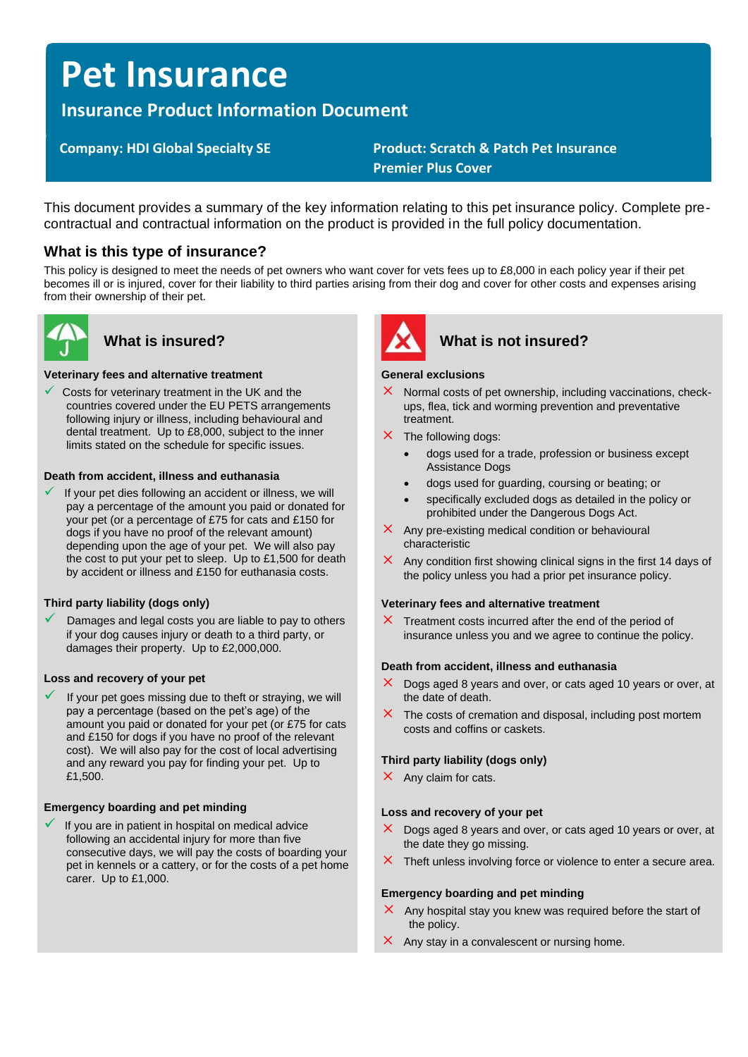# **Pet Insurance**

# **Insurance Product Information Document**

 **Company: HDI Global Specialty SE Product: Scratch & Patch Pet Insurance Premier Plus Cover**

This document provides a summary of the key information relating to this pet insurance policy. Complete precontractual and contractual information on the product is provided in the full policy documentation.

# **What is this type of insurance?**

This policy is designed to meet the needs of pet owners who want cover for vets fees up to £8,000 in each policy year if their pet becomes ill or is injured, cover for their liability to third parties arising from their dog and cover for other costs and expenses arising from their ownership of their pet.



#### **Veterinary fees and alternative treatment**

Costs for veterinary treatment in the UK and the countries covered under the EU PETS arrangements following injury or illness, including behavioural and dental treatment. Up to £8,000, subject to the inner limits stated on the schedule for specific issues.

### **Death from accident, illness and euthanasia**

If your pet dies following an accident or illness, we will pay a percentage of the amount you paid or donated for your pet (or a percentage of £75 for cats and £150 for dogs if you have no proof of the relevant amount) depending upon the age of your pet. We will also pay the cost to put your pet to sleep. Up to £1,500 for death by accident or illness and £150 for euthanasia costs.

### **Third party liability (dogs only)**

Damages and legal costs you are liable to pay to others if your dog causes injury or death to a third party, or damages their property. Up to £2,000,000.

#### **Loss and recovery of your pet**

If your pet goes missing due to theft or straying, we will pay a percentage (based on the pet's age) of the amount you paid or donated for your pet (or £75 for cats and £150 for dogs if you have no proof of the relevant cost). We will also pay for the cost of local advertising and any reward you pay for finding your pet. Up to £1,500.

### **Emergency boarding and pet minding**

If you are in patient in hospital on medical advice following an accidental injury for more than five consecutive days, we will pay the costs of boarding your pet in kennels or a cattery, or for the costs of a pet home carer. Up to £1,000.



# What is insured? **What is not insured?**

#### **General exclusions**

- $\times$  Normal costs of pet ownership, including vaccinations, checkups, flea, tick and worming prevention and preventative treatment.
- $\times$  The following dogs:
	- dogs used for a trade, profession or business except Assistance Dogs
	- dogs used for guarding, coursing or beating; or
	- specifically excluded dogs as detailed in the policy or prohibited under the Dangerous Dogs Act.
- $\times$  Any pre-existing medical condition or behavioural characteristic
- $\times$  Any condition first showing clinical signs in the first 14 days of the policy unless you had a prior pet insurance policy.

#### **Veterinary fees and alternative treatment**

 $\times$  Treatment costs incurred after the end of the period of insurance unless you and we agree to continue the policy.

#### **Death from accident, illness and euthanasia**

- $\times$  Dogs aged 8 years and over, or cats aged 10 years or over, at the date of death.
- $\times$  The costs of cremation and disposal, including post mortem costs and coffins or caskets.

#### **Third party liability (dogs only)**

 $\times$  Any claim for cats.

#### **Loss and recovery of your pet**

- $\times$  Dogs aged 8 years and over, or cats aged 10 years or over, at the date they go missing.
- $\times$  Theft unless involving force or violence to enter a secure area.

#### **Emergency boarding and pet minding**

- $\times$  Any hospital stay you knew was required before the start of the policy.
- $\times$  Any stay in a convalescent or nursing home.